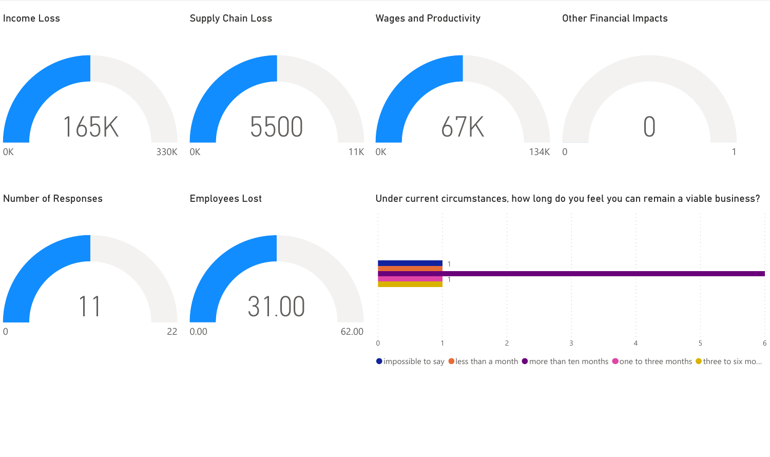

 $\bullet$  impossible to say  $\bullet$  less than a month  $\bullet$  more than ten months  $\bullet$  one to three months  $\bullet$  three to six mo...